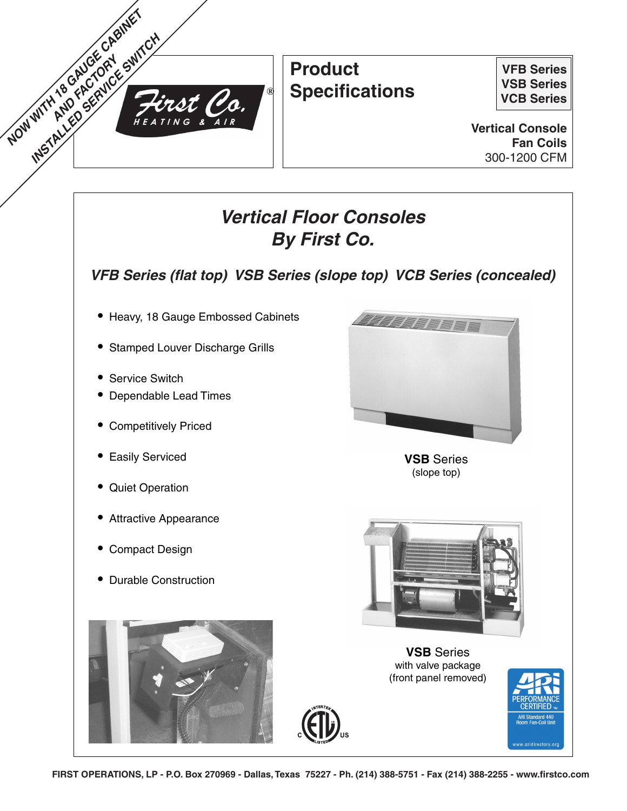

# **Product Specifications**

**VFB Series VSB Series VCB Series**

**Vertical Console Fan Coils** 300-1200 CFM

# **Vertical Floor Consoles By First Co.**

**VFB Series (flat top) VSB Series (slope top) VCB Series (concealed)**

- **•** Heavy, 18 Gauge Embossed Cabinets
- **•** Stamped Louver Discharge Grills
- **•** Service Switch
- **•** Dependable Lead Times
- **•** Competitively Priced
- **•** Easily Serviced
- **•** Quiet Operation
- **•** Attractive Appearance
- **•** Compact Design
- **•** Durable Construction



**VSB** Series (slope top)



**VSB** Series with valve package (front panel removed)



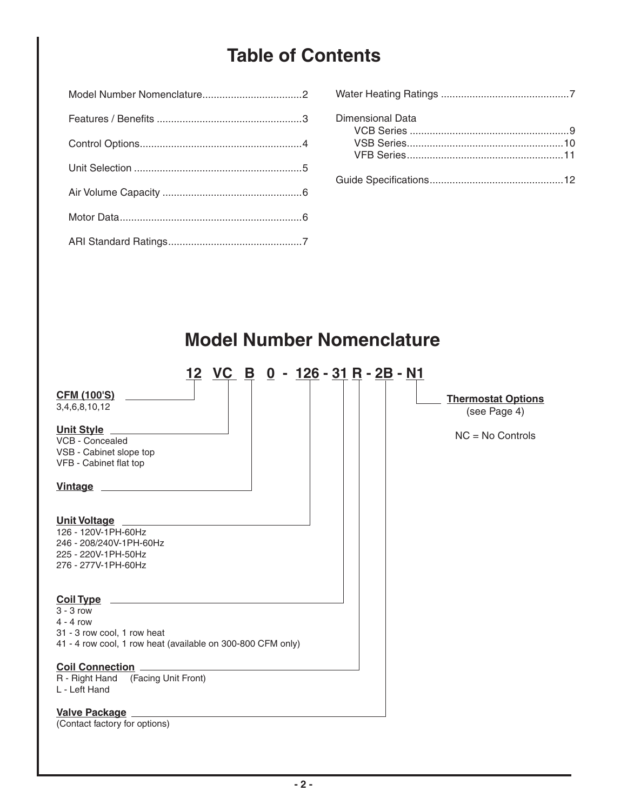# **Table of Contents**

| Dimensional Data |
|------------------|
|                  |
|                  |
|                  |
|                  |

## **CFM (100'S)** 3,4,6,8,10,12 **Unit Style** VCB - Concealed VSB - Cabinet slope top VFB - Cabinet flat top **Vintage Unit Voltage** 126 - 120V-1PH-60Hz 246 - 208/240V-1PH-60Hz 225 - 220V-1PH-50Hz 276 - 277V-1PH-60Hz **Coil Type** 3 - 3 row 4 - 4 row 31 - 3 row cool, 1 row heat 41 - 4 row cool, 1 row heat (available on 300-800 CFM only) **Coil Connection** R - Right Hand (Facing Unit Front) L - Left Hand **Model Number Nomenclature 12 VC B 0 - 126 - 31 R - 2B - N1 Thermostat Options** (see Page 4) NC = No Controls

## **Valve Package**

(Contact factory for options)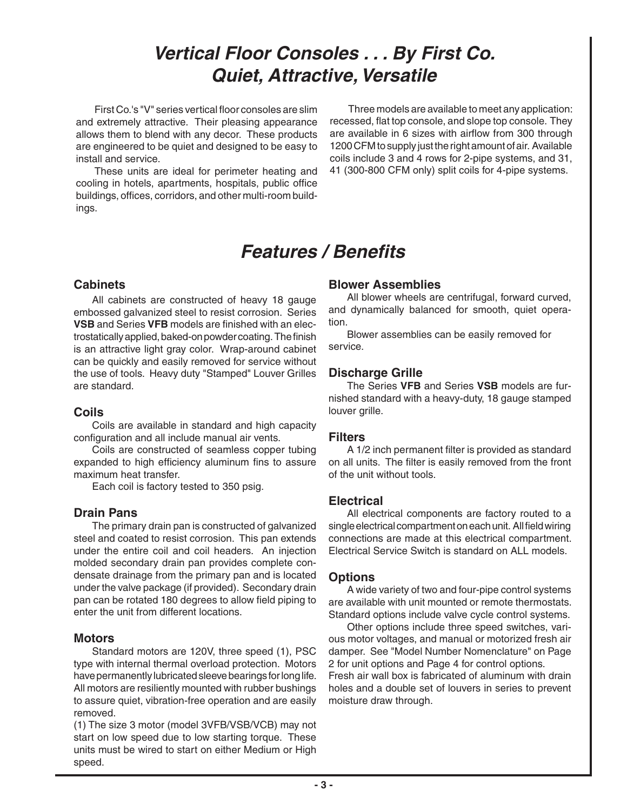# **Vertical Floor Consoles . . . By First Co. Quiet, Attractive, Versatile**

First Co.'s "V" series vertical floor consoles are slim and extremely attractive. Their pleasing appearance allows them to blend with any decor. These products are engineered to be quiet and designed to be easy to install and service.

 These units are ideal for perimeter heating and cooling in hotels, apartments, hospitals, public office buildings, offices, corridors, and other multi-room buildings.

 Three models are available to meet any application: recessed, flat top console, and slope top console. They are available in 6 sizes with airflow from 300 through 1200 CFM to supply just the right amount of air. Available coils include 3 and 4 rows for 2-pipe systems, and 31, 41 (300-800 CFM only) split coils for 4-pipe systems.

# **Features / Benefits**

## **Cabinets**

All cabinets are constructed of heavy 18 gauge embossed galvanized steel to resist corrosion. Series **VSB** and Series **VFB** models are finished with an electrostatically applied, baked-on powder coating. The finish is an attractive light gray color. Wrap-around cabinet can be quickly and easily removed for service without the use of tools. Heavy duty "Stamped" Louver Grilles are standard.

## **Coils**

 Coils are available in standard and high capacity configuration and all include manual air vents.

 Coils are constructed of seamless copper tubing expanded to high efficiency aluminum fins to assure maximum heat transfer.

Each coil is factory tested to 350 psig.

## **Drain Pans**

 The primary drain pan is constructed of galvanized steel and coated to resist corrosion. This pan extends under the entire coil and coil headers. An injection molded secondary drain pan provides complete condensate drainage from the primary pan and is located under the valve package (if provided). Secondary drain pan can be rotated 180 degrees to allow field piping to enter the unit from different locations.

## **Motors**

 Standard motors are 120V, three speed (1), PSC type with internal thermal overload protection. Motors have permanently lubricated sleeve bearings for long life. All motors are resiliently mounted with rubber bushings to assure quiet, vibration-free operation and are easily removed.

(1) The size 3 motor (model 3VFB/VSB/VCB) may not start on low speed due to low starting torque. These units must be wired to start on either Medium or High speed.

## **Blower Assemblies**

 All blower wheels are centrifugal, forward curved, and dynamically balanced for smooth, quiet operation.

 Blower assemblies can be easily removed for service.

## **Discharge Grille**

 The Series **VFB** and Series **VSB** models are furnished standard with a heavy-duty, 18 gauge stamped louver grille.

## **Filters**

 A 1/2 inch permanent filter is provided as standard on all units. The filter is easily removed from the front of the unit without tools.

## **Electrical**

 All electrical components are factory routed to a single electrical compartment on each unit. All field wiring connections are made at this electrical compartment. Electrical Service Switch is standard on ALL models.

## **Options**

 A wide variety of two and four-pipe control systems are available with unit mounted or remote thermostats. Standard options include valve cycle control systems.

 Other options include three speed switches, various motor voltages, and manual or motorized fresh air damper. See "Model Number Nomenclature" on Page 2 for unit options and Page 4 for control options. Fresh air wall box is fabricated of aluminum with drain holes and a double set of louvers in series to prevent moisture draw through.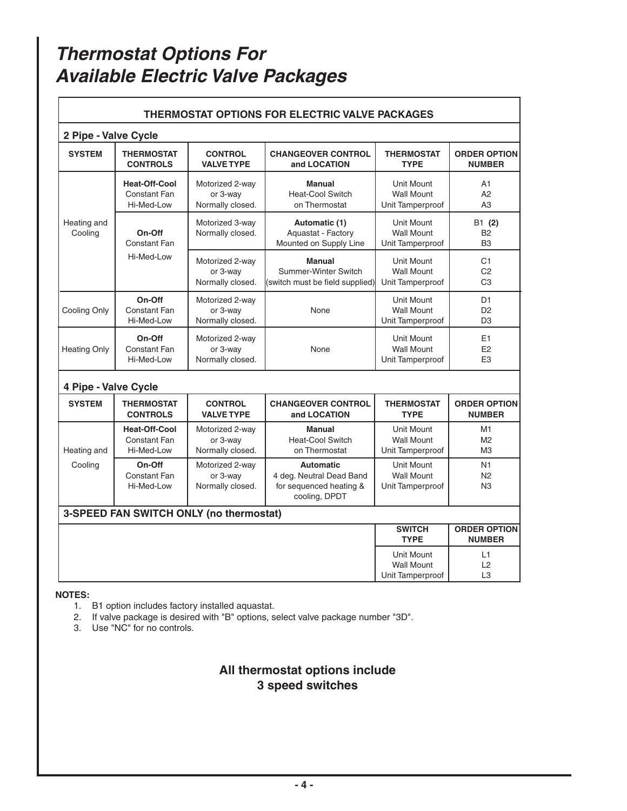# **Thermostat Options For Available Electric Valve Packages**

| <b>THERMOSTAT OPTIONS FOR ELECTRIC VALVE PACKAGES</b> |                                                    |                                                                                  |                                                                                          |                                                            |                                                    |  |  |  |  |  |
|-------------------------------------------------------|----------------------------------------------------|----------------------------------------------------------------------------------|------------------------------------------------------------------------------------------|------------------------------------------------------------|----------------------------------------------------|--|--|--|--|--|
|                                                       | 2 Pipe - Valve Cycle                               |                                                                                  |                                                                                          |                                                            |                                                    |  |  |  |  |  |
| <b>SYSTEM</b>                                         | <b>THERMOSTAT</b><br><b>CONTROLS</b>               | <b>CONTROL</b><br><b>CHANGEOVER CONTROL</b><br><b>VALVE TYPE</b><br>and LOCATION |                                                                                          | <b>THERMOSTAT</b><br><b>TYPE</b>                           | <b>ORDER OPTION</b><br><b>NUMBER</b>               |  |  |  |  |  |
|                                                       | <b>Heat-Off-Cool</b><br>Constant Fan<br>Hi-Med-Low | Motorized 2-way<br>or 3-way<br>Normally closed.                                  | <b>Manual</b><br><b>Heat-Cool Switch</b><br>on Thermostat                                | <b>Unit Mount</b><br><b>Wall Mount</b><br>Unit Tamperproof | A1<br>A <sub>2</sub><br>A3                         |  |  |  |  |  |
| Heating and<br>Cooling                                | On-Off<br><b>Constant Fan</b>                      | Motorized 3-way<br>Normally closed.                                              | Automatic (1)<br>Aquastat - Factory<br>Mounted on Supply Line                            | <b>Unit Mount</b><br><b>Wall Mount</b><br>Unit Tamperproof | B1 (2)<br><b>B2</b><br>B <sub>3</sub>              |  |  |  |  |  |
|                                                       | Hi-Med-I ow                                        | Motorized 2-way<br>or 3-way<br>Normally closed.                                  | <b>Manual</b><br>Summer-Winter Switch<br>(switch must be field supplied)                 | <b>Unit Mount</b><br><b>Wall Mount</b><br>Unit Tamperproof | C1<br>C <sub>2</sub><br>C <sub>3</sub>             |  |  |  |  |  |
| Cooling Only                                          | On-Off<br>Constant Fan<br>Hi-Med-Low               | Motorized 2-way<br>or 3-way<br>Normally closed.                                  | None                                                                                     | Unit Mount<br><b>Wall Mount</b><br>Unit Tamperproof        | D <sub>1</sub><br>D <sub>2</sub><br>D <sub>3</sub> |  |  |  |  |  |
| <b>Heating Only</b>                                   | On-Off<br>Constant Fan<br>Hi-Med-Low               | Motorized 2-way<br>or 3-way<br>Normally closed.                                  | None                                                                                     | <b>Unit Mount</b><br><b>Wall Mount</b><br>Unit Tamperproof | E <sub>1</sub><br>E <sub>2</sub><br>E <sub>3</sub> |  |  |  |  |  |
| 4 Pipe - Valve Cycle                                  |                                                    |                                                                                  |                                                                                          |                                                            |                                                    |  |  |  |  |  |
| <b>SYSTEM</b>                                         | <b>THERMOSTAT</b><br><b>CONTROLS</b>               | <b>CONTROL</b><br><b>VALVE TYPE</b>                                              | <b>CHANGEOVER CONTROL</b><br>and LOCATION                                                | <b>THERMOSTAT</b><br><b>TYPE</b>                           | <b>ORDER OPTION</b><br><b>NUMBER</b>               |  |  |  |  |  |
| Heating and                                           | <b>Heat-Off-Cool</b><br>Constant Fan<br>Hi-Med-Low | Motorized 2-way<br>or 3-way<br>Normally closed.                                  | <b>Manual</b><br><b>Heat-Cool Switch</b><br>on Thermostat                                | Unit Mount<br><b>Wall Mount</b><br>Unit Tamperproof        | M1<br>M <sub>2</sub><br>M <sub>3</sub>             |  |  |  |  |  |
| Cooling                                               | On-Off<br>Constant Fan<br>Hi-Med-Low               | Motorized 2-way<br>or 3-way<br>Normally closed.                                  | <b>Automatic</b><br>4 deg. Neutral Dead Band<br>for sequenced heating &<br>cooling, DPDT | Unit Mount<br><b>Wall Mount</b><br>Unit Tamperproof        | N1<br>N <sub>2</sub><br>N3                         |  |  |  |  |  |
|                                                       | 3-SPEED FAN SWITCH ONLY (no thermostat)            |                                                                                  |                                                                                          |                                                            |                                                    |  |  |  |  |  |
|                                                       |                                                    | <b>SWITCH</b><br><b>TYPE</b>                                                     | <b>ORDER OPTION</b><br><b>NUMBER</b>                                                     |                                                            |                                                    |  |  |  |  |  |
|                                                       |                                                    |                                                                                  |                                                                                          | Unit Mount<br><b>Wall Mount</b><br>Unit Tamperproof        | L1<br>L2<br>L <sub>3</sub>                         |  |  |  |  |  |

### **NOTES:**

- 1. B1 option includes factory installed aquastat.
- 2. If valve package is desired with "B" options, select valve package number "3D".
- 3. Use "NC" for no controls.

## **All thermostat options include 3 speed switches**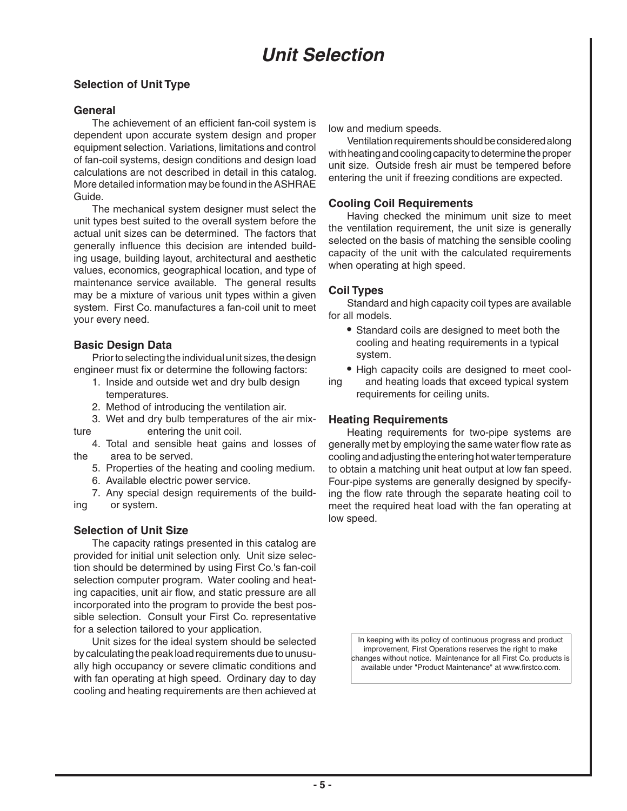## **Selection of Unit Type**

## **General**

 The achievement of an efficient fan-coil system is dependent upon accurate system design and proper equipment selection. Variations, limitations and control of fan-coil systems, design conditions and design load calculations are not described in detail in this catalog. More detailed information may be found in the ASHRAE Guide.

 The mechanical system designer must select the unit types best suited to the overall system before the actual unit sizes can be determined. The factors that generally influence this decision are intended building usage, building layout, architectural and aesthetic values, economics, geographical location, and type of maintenance service available. The general results may be a mixture of various unit types within a given system. First Co. manufactures a fan-coil unit to meet your every need.

## **Basic Design Data**

 Prior to selecting the individual unit sizes, the design engineer must fix or determine the following factors:

- 1. Inside and outside wet and dry bulb design temperatures.
- 2. Method of introducing the ventilation air.
- 3. Wet and dry bulb temperatures of the air mixture entering the unit coil.

 4. Total and sensible heat gains and losses of the area to be served.

- 5. Properties of the heating and cooling medium.
- 6. Available electric power service.

 7. Any special design requirements of the building or system.

## **Selection of Unit Size**

 The capacity ratings presented in this catalog are provided for initial unit selection only. Unit size selection should be determined by using First Co.'s fan-coil selection computer program. Water cooling and heating capacities, unit air flow, and static pressure are all incorporated into the program to provide the best possible selection. Consult your First Co. representative for a selection tailored to your application.

 Unit sizes for the ideal system should be selected by calculating the peak load requirements due to unusually high occupancy or severe climatic conditions and with fan operating at high speed. Ordinary day to day cooling and heating requirements are then achieved at low and medium speeds.

 Ventilation requirements should be considered along with heating and cooling capacity to determine the proper unit size. Outside fresh air must be tempered before entering the unit if freezing conditions are expected.

## **Cooling Coil Requirements**

 Having checked the minimum unit size to meet the ventilation requirement, the unit size is generally selected on the basis of matching the sensible cooling capacity of the unit with the calculated requirements when operating at high speed.

## **Coil Types**

 Standard and high capacity coil types are available for all models.

- **•** Standard coils are designed to meet both the cooling and heating requirements in a typical system.
- **•** High capacity coils are designed to meet cool-
- ing and heating loads that exceed typical system requirements for ceiling units.

## **Heating Requirements**

 Heating requirements for two-pipe systems are generally met by employing the same water flow rate as cooling and adjusting the entering hot water temperature to obtain a matching unit heat output at low fan speed. Four-pipe systems are generally designed by specifying the flow rate through the separate heating coil to meet the required heat load with the fan operating at low speed.

> In keeping with its policy of continuous progress and product improvement. First Operations reserves the right to make changes without notice. Maintenance for all First Co. products is available under "Product Maintenance" at www.firstco.com.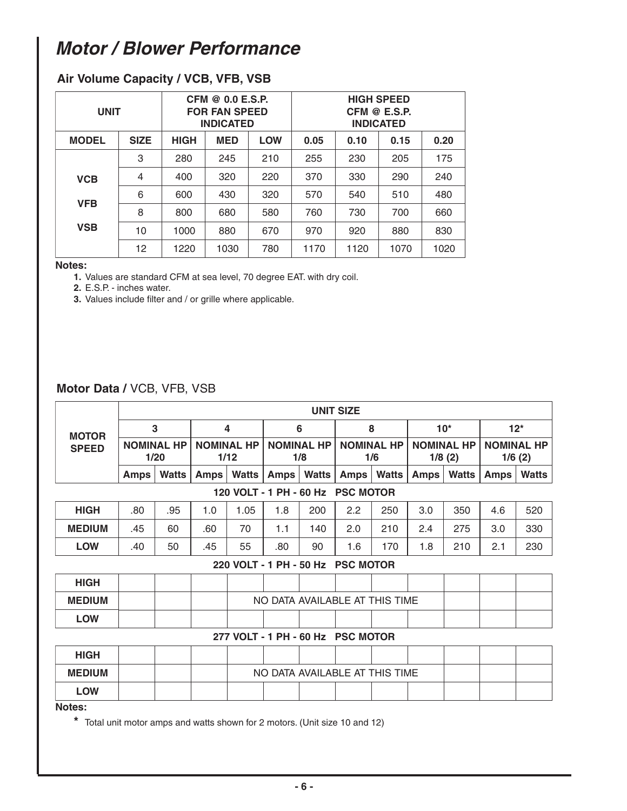# **Motor / Blower Performance**

| <b>UNIT</b>  |             |             | CFM @ 0.0 E.S.P.<br><b>FOR FAN SPEED</b><br><b>INDICATED</b> |            | <b>HIGH SPEED</b><br>CFM @ E.S.P.<br><b>INDICATED</b> |      |      |      |
|--------------|-------------|-------------|--------------------------------------------------------------|------------|-------------------------------------------------------|------|------|------|
| <b>MODEL</b> | <b>SIZE</b> | <b>HIGH</b> | <b>MED</b>                                                   | <b>LOW</b> | 0.05                                                  | 0.10 | 0.15 | 0.20 |
|              | 3           | 280         | 245                                                          | 210        | 255                                                   | 230  | 205  | 175  |
| <b>VCB</b>   | 4           | 400         | 320                                                          | 220        | 370                                                   | 330  | 290  | 240  |
| <b>VFB</b>   | 6           | 600         | 430                                                          | 320        | 570                                                   | 540  | 510  | 480  |
|              | 8           | 800         | 680                                                          | 580        | 760                                                   | 730  | 700  | 660  |
| <b>VSB</b>   | 10          | 1000        | 880                                                          | 670        | 970                                                   | 920  | 880  | 830  |
|              | 12          | 1220        | 1030                                                         | 780        | 1170                                                  | 1120 | 1070 | 1020 |

## **Air Volume Capacity / VCB, VFB, VSB**

#### **Notes:**

**1.** Values are standard CFM at sea level, 70 degree EAT. with dry coil.

**2.** E.S.P. - inches water.

**3.** Values include filter and / or grille where applicable.

## **Motor Data /** VCB, VFB, VSB

| <b>UNIT SIZE</b> |              |                                |              |                          |       |                          |              |                                                                                                             |                                                                                                                                                  |                             |              |
|------------------|--------------|--------------------------------|--------------|--------------------------|-------|--------------------------|--------------|-------------------------------------------------------------------------------------------------------------|--------------------------------------------------------------------------------------------------------------------------------------------------|-----------------------------|--------------|
|                  |              |                                |              |                          |       | 8                        |              | $10*$                                                                                                       |                                                                                                                                                  | $12*$                       |              |
|                  |              | <b>NOMINAL HP</b><br>1/12      |              | <b>NOMINAL HP</b><br>1/8 |       | <b>NOMINAL HP</b><br>1/6 |              | <b>NOMINAL HP</b><br>1/8(2)                                                                                 |                                                                                                                                                  | <b>NOMINAL HP</b><br>1/6(2) |              |
| <b>Amps</b>      | <b>Watts</b> | <b>Amps</b>                    | <b>Watts</b> |                          | Watts | Amps                     | <b>Watts</b> | <b>Amps</b>                                                                                                 | <b>Watts</b>                                                                                                                                     | <b>Amps</b>                 | <b>Watts</b> |
|                  |              |                                |              |                          |       |                          |              |                                                                                                             |                                                                                                                                                  |                             |              |
| .80              | .95          | 1.0                            | 1.05         | 1.8                      | 200   | 2.2                      | 250          | 3.0                                                                                                         | 350                                                                                                                                              | 4.6                         | 520          |
| .45              | 60           | .60                            | 70           | 1.1                      | 140   | 2.0                      | 210          | 2.4                                                                                                         | 275                                                                                                                                              | 3.0                         | 330          |
| .40              | 50           | .45                            | 55           | .80                      | 90    | 1.6                      | 170          | 1.8                                                                                                         | 210                                                                                                                                              | 2.1                         | 230          |
|                  |              |                                |              |                          |       |                          |              |                                                                                                             |                                                                                                                                                  |                             |              |
|                  |              |                                |              |                          |       |                          |              |                                                                                                             |                                                                                                                                                  |                             |              |
|                  |              |                                |              |                          |       |                          |              |                                                                                                             |                                                                                                                                                  |                             |              |
|                  |              |                                |              |                          |       |                          |              |                                                                                                             |                                                                                                                                                  |                             |              |
|                  |              |                                |              |                          |       |                          |              |                                                                                                             |                                                                                                                                                  |                             |              |
|                  |              |                                |              |                          |       |                          |              |                                                                                                             |                                                                                                                                                  |                             |              |
|                  |              |                                |              |                          |       |                          |              |                                                                                                             |                                                                                                                                                  |                             |              |
|                  |              |                                |              |                          |       |                          |              |                                                                                                             |                                                                                                                                                  |                             |              |
|                  |              |                                |              |                          |       |                          |              |                                                                                                             |                                                                                                                                                  |                             |              |
|                  |              | 3<br><b>NOMINAL HP</b><br>1/20 |              | 4                        |       | 6<br>Amps                |              | 120 VOLT - 1 PH - 60 Hz PSC MOTOR<br>220 VOLT - 1 PH - 50 Hz PSC MOTOR<br>277 VOLT - 1 PH - 60 Hz PSC MOTOR | NO DATA AVAILABLE AT THIS TIME<br>NO DATA AVAILABLE AT THIS TIME<br>* Total unit motor amps and watts shown for 2 motors (I Init size 10 and 12) |                             |              |

**\*** Total unit motor amps and watts shown for 2 motors. (Unit size 10 and 12)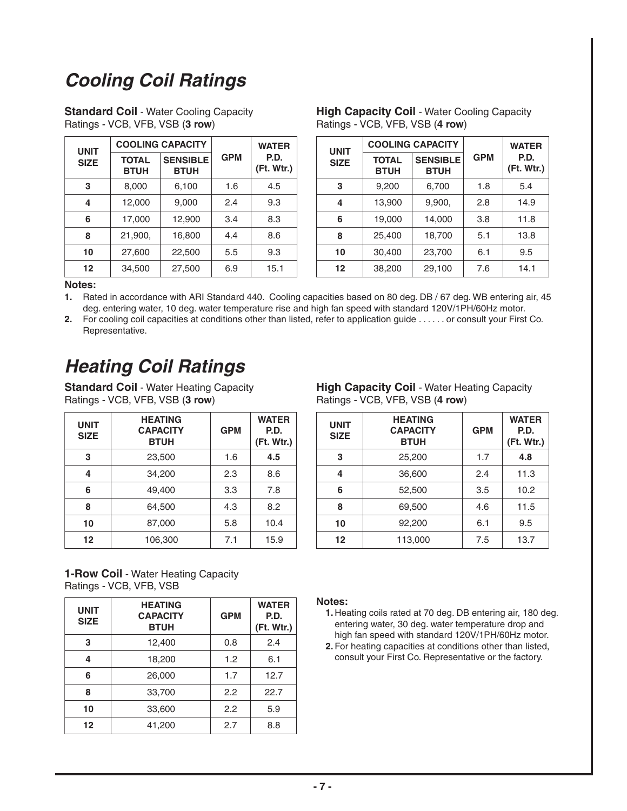# **Cooling Coil Ratings**

| <b>Standard Coil - Water Cooling Capacity</b> |
|-----------------------------------------------|
| Ratings - VCB, VFB, VSB (3 row)               |

| <b>UNIT</b> |                             | <b>COOLING CAPACITY</b>        |            | <b>WATER</b>       |
|-------------|-----------------------------|--------------------------------|------------|--------------------|
| <b>SIZE</b> | <b>TOTAL</b><br><b>BTUH</b> | <b>SENSIBLE</b><br><b>BTUH</b> | <b>GPM</b> | P.D.<br>(Ft. Wtr.) |
| 3           | 8,000                       | 6,100                          | 1.6        | 4.5                |
| 4           | 12,000                      | 9,000                          | 2.4        | 9.3                |
| 6           | 17,000                      | 12,900                         | 3.4        | 8.3                |
| 8           | 21,900,                     | 16,800                         | 4.4        | 8.6                |
| 10          | 27,600                      | 22,500                         | 5.5        | 9.3                |
| 12          | 34,500                      | 27,500                         | 6.9        | 15.1               |

| <b>High Capacity Coil - Water Cooling Capacity</b> |
|----------------------------------------------------|
| Ratings - VCB, VFB, VSB (4 row)                    |

| <b>NIT</b> | <b>COOLING CAPACITY</b>     |                                |            | <b>WATER</b>       | <b>UNIT</b> |                             | <b>COOLING CAPACITY</b>        |            | <b>WATER</b>             |
|------------|-----------------------------|--------------------------------|------------|--------------------|-------------|-----------------------------|--------------------------------|------------|--------------------------|
| <b>IZE</b> | <b>TOTAL</b><br><b>BTUH</b> | <b>SENSIBLE</b><br><b>BTUH</b> | <b>GPM</b> | P.D.<br>(Ft. Wtr.) | <b>SIZE</b> | <b>TOTAL</b><br><b>BTUH</b> | <b>SENSIBLE</b><br><b>BTUH</b> | <b>GPM</b> | P.D.<br>$($ Ft. Wtr. $)$ |
| 3          | 8,000                       | 6,100                          | 1.6        | 4.5                | 3           | 9,200                       | 6,700                          | 1.8        | 5.4                      |
| 4          | 12,000                      | 9,000                          | 2.4        | 9.3                | 4           | 13,900                      | 9,900,                         | 2.8        | 14.9                     |
| 6          | 17,000                      | 12,900                         | 3.4        | 8.3                | 6           | 19,000                      | 14,000                         | 3.8        | 11.8                     |
| 8          | 21,900,                     | 16,800                         | 4.4        | 8.6                | 8           | 25,400                      | 18,700                         | 5.1        | 13.8                     |
| 10         | 27,600                      | 22,500                         | 5.5        | 9.3                | 10          | 30,400                      | 23,700                         | 6.1        | 9.5                      |
| 12         | 34,500                      | 27,500                         | 6.9        | 15.1               | 12          | 38,200                      | 29,100                         | 7.6        | 14.1                     |

#### **Notes:**

**1.** Rated in accordance with ARI Standard 440. Cooling capacities based on 80 deg. DB / 67 deg. WB entering air, 45 deg. entering water, 10 deg. water temperature rise and high fan speed with standard 120V/1PH/60Hz motor.

**2.** For cooling coil capacities at conditions other than listed, refer to application guide . . . . . . or consult your First Co. Representative.

# **Heating Coil Ratings**

**Standard Coil** - Water Heating Capacity Ratings - VCB, VFB, VSB (**3 row**)

| <b>UNIT</b><br><b>SIZE</b> | <b>HEATING</b><br><b>CAPACITY</b><br><b>BTUH</b> | <b>GPM</b> | <b>WATER</b><br>P.D.<br>(Ft. Wtr.) |
|----------------------------|--------------------------------------------------|------------|------------------------------------|
| 3                          | 23,500                                           | 1.6        | 4.5                                |
| 4                          | 34,200                                           | 2.3        | 8.6                                |
| 6                          | 49,400                                           | 3.3        | 7.8                                |
| 8                          | 64,500                                           | 4.3        | 8.2                                |
| 10                         | 87,000                                           | 5.8        | 10.4                               |
| $12 \,$                    | 106,300                                          | 7.1        | 15.9                               |

**High Capacity Coil** - Water Heating Capacity Ratings - VCB, VFB, VSB (**4 row**)

| <b>NIT</b><br><b>IZE</b> | <b>HEATING</b><br><b>CAPACITY</b><br><b>BTUH</b> | <b>GPM</b> | <b>WATER</b><br>P.D.<br>$($ Ft. Wtr. $)$ | <b>UNIT</b><br><b>SIZE</b> | <b>HEATING</b><br><b>CAPACITY</b><br><b>BTUH</b> | <b>GPM</b> | <b>WATER</b><br>P.D.<br>(Ft. Wtr.) |
|--------------------------|--------------------------------------------------|------------|------------------------------------------|----------------------------|--------------------------------------------------|------------|------------------------------------|
| 3                        | 23,500                                           | 1.6        | 4.5                                      | 3                          | 25,200                                           | 1.7        | 4.8                                |
| 4                        | 34,200                                           | 2.3        | 8.6                                      | 4                          | 36,600                                           | 2.4        | 11.3                               |
| 6                        | 49,400                                           | 3.3        | 7.8                                      | 6                          | 52,500                                           | 3.5        | 10.2 <sub>1</sub>                  |
| 8                        | 64,500                                           | 4.3        | 8.2                                      | 8                          | 69,500                                           | 4.6        | 11.5                               |
| 10                       | 87,000                                           | 5.8        | 10.4                                     | 10                         | 92,200                                           | 6.1        | 9.5                                |
| 12                       | 106,300                                          | 7.1        | 15.9                                     | 12                         | 113,000                                          | 7.5        | 13.7                               |

## **1-Row Coil** - Water Heating Capacity Ratings - VCB, VFB, VSB

| <b>UNIT</b><br><b>SIZE</b> | <b>HEATING</b><br><b>CAPACITY</b><br><b>BTUH</b> | <b>GPM</b> | <b>WATER</b><br>P.D.<br>(Ft. Wtr.) |
|----------------------------|--------------------------------------------------|------------|------------------------------------|
| 3                          | 12,400                                           | 0.8        | 2.4                                |
| 4                          | 18,200                                           | 1.2        | 6.1                                |
| 6                          | 26,000                                           | 1.7        | 12.7                               |
| 8                          | 33,700                                           | 2.2        | 22.7                               |
| 10                         | 33,600                                           | 2.2        | 5.9                                |
| 12                         | 41,200                                           | 2.7        | 8.8                                |

### **Notes:**

- **1.** Heating coils rated at 70 deg. DB entering air, 180 deg. entering water, 30 deg. water temperature drop and high fan speed with standard 120V/1PH/60Hz motor.
- **2.** For heating capacities at conditions other than listed, consult your First Co. Representative or the factory.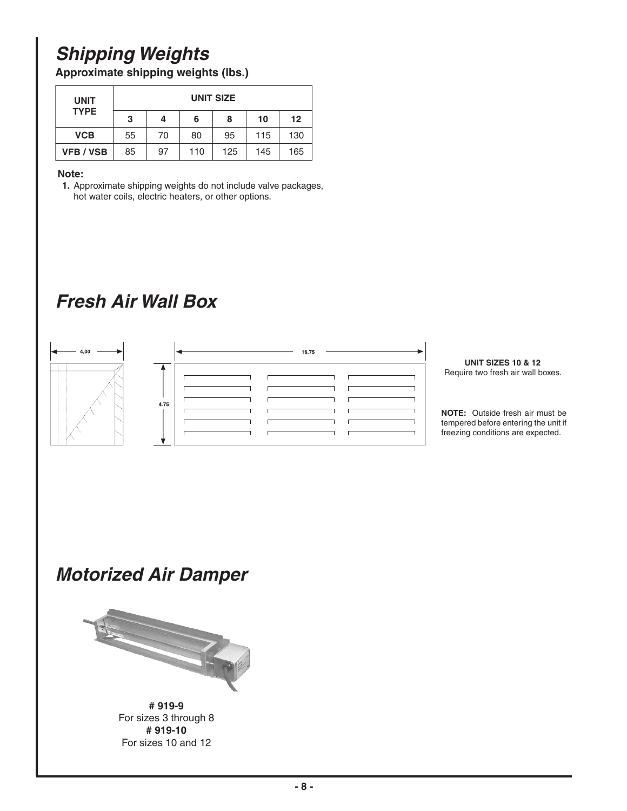# **Shipping Weights**

**Approximate shipping weights (lbs.)**

| <b>UNIT</b><br><b>TYPE</b> | <b>UNIT SIZE</b> |    |     |     |     |         |
|----------------------------|------------------|----|-----|-----|-----|---------|
|                            | 3                | 4  | 6   | 8   | 10  | $12 \,$ |
| <b>VCB</b>                 | 55               | 70 | 80  | 95  | 115 | 130     |
| <b>VFB / VSB</b>           | 85               | 97 | 110 | 125 | 145 | 165     |

### **Note:**

**1.** Approximate shipping weights do not include valve packages, hot water coils, electric heaters, or other options.

# **Fresh Air Wall Box**



# **Motorized Air Damper**



**# 919-9** For sizes 3 through 8 **# 919-10** For sizes 10 and 12